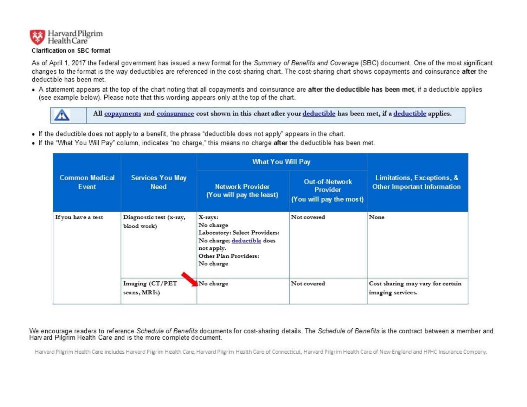

As of April 1, 2017 the federal government has issued a new format for the Summary of Benefits and Coverage (SBC) document. One of the most significant changes to the format is the way deductibles are referenced in the cost-sharing chart. The cost-sharing chart shows copayments and coinsurance after the deductible has been met.

. A statement appears at the top of the chart noting that all copayments and coinsurance are after the deductible has been met, if a deductible applies (see example below). Please note that this wording appears only at the top of the chart.



All copayments and coinsurance cost shown in this chart after your deductible has been met, if a deductible applies.

- If the deductible does not apply to a benefit, the phrase "deductible does not apply" appears in the chart.
- . If the "What You Will Pay" column, indicates "no charge," this means no charge after the deductible has been met.

| <b>Common Medical</b><br>Event | <b>Services You May</b><br><b>Need</b> | <b>What You Will Pay</b>                                                                                                                |                                                                     |                                                                  |
|--------------------------------|----------------------------------------|-----------------------------------------------------------------------------------------------------------------------------------------|---------------------------------------------------------------------|------------------------------------------------------------------|
|                                |                                        | <b>Network Provider</b><br>(You will pay the least)                                                                                     | <b>Out-of-Network</b><br><b>Provider</b><br>(You will pay the most) | Limitations, Exceptions, &<br><b>Other Important Information</b> |
| If you have a test             | Diagnostic test (x-ray,<br>blood work) | X-rays:<br>No charge<br>Laboratory: Select Providers:<br>No charge; deductible does<br>not apply.<br>Other Plan Providers:<br>No charge | Not covered                                                         | None                                                             |
|                                | Imaging (CT/PET<br>scans, MRIs)        | No charge                                                                                                                               | Not covered                                                         | Cost sharing may vary for certain<br>imaging services.           |

#### We encourage readers to reference Schedule of Benefits documents for cost-sharing details. The Schedule of Benefits is the contract between a member and Harv ard Pilgrim Health Care and is the more complete document.

Harvard Pilgrim Health Care includes Harvard Pilgrim Health Care, Harvard Pilgrim Health Care of Connecticut, Harvard Pilgrim Health Care of New England and HPHC Insurance Company.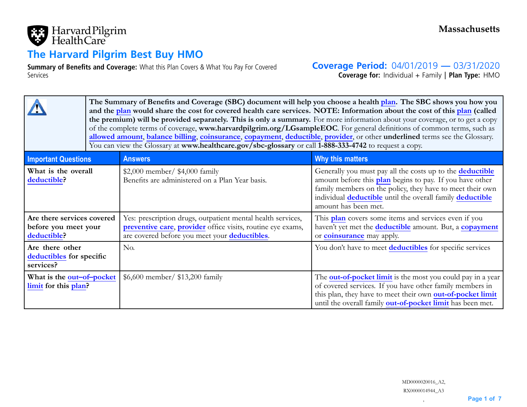

# **The Harvard Pilgrim Best Buy HMO**

**Summary of Benefits and Coverage:** What this Plan Covers & What You Pay For Covered Services

**Coverage Period:** 04/01/2019 **—** 03/31/2020

**Coverage for:** Individual <sup>+</sup> Family | **Plan Type:** HMO

|                                                                   | The Summary of Benefits and Coverage (SBC) document will help you choose a health plan. The SBC shows you how you<br>and the plan would share the cost for covered health care services. NOTE: Information about the cost of this plan (called<br>the premium) will be provided separately. This is only a summary. For more information about your coverage, or to get a copy<br>of the complete terms of coverage, www.harvardpilgrim.org/LGsampleEOC. For general definitions of common terms, such as<br>allowed amount, balance billing, coinsurance, copayment, deductible, provider, or other underlined terms see the Glossary.<br>You can view the Glossary at www.healthcare.gov/sbc-glossary or call 1-888-333-4742 to request a copy. |                                                                                                                                                                             |                                                                                                                                                                                                                                                                                                     |  |
|-------------------------------------------------------------------|---------------------------------------------------------------------------------------------------------------------------------------------------------------------------------------------------------------------------------------------------------------------------------------------------------------------------------------------------------------------------------------------------------------------------------------------------------------------------------------------------------------------------------------------------------------------------------------------------------------------------------------------------------------------------------------------------------------------------------------------------|-----------------------------------------------------------------------------------------------------------------------------------------------------------------------------|-----------------------------------------------------------------------------------------------------------------------------------------------------------------------------------------------------------------------------------------------------------------------------------------------------|--|
| <b>Important Questions</b>                                        |                                                                                                                                                                                                                                                                                                                                                                                                                                                                                                                                                                                                                                                                                                                                                   | <b>Answers</b>                                                                                                                                                              | Why this matters                                                                                                                                                                                                                                                                                    |  |
| What is the overall<br>deductible?                                |                                                                                                                                                                                                                                                                                                                                                                                                                                                                                                                                                                                                                                                                                                                                                   | \$2,000 member/ $$4,000$ family<br>Benefits are administered on a Plan Year basis.                                                                                          | Generally you must pay all the costs up to the <b>deductible</b><br>amount before this <b>plan</b> begins to pay. If you have other<br>family members on the policy, they have to meet their own<br>individual <b>deductible</b> until the overall family <b>deductible</b><br>amount has been met. |  |
| Are there services covered<br>before you meet your<br>deductible? |                                                                                                                                                                                                                                                                                                                                                                                                                                                                                                                                                                                                                                                                                                                                                   | Yes: prescription drugs, outpatient mental health services,<br>preventive care, provider office visits, routine eye exams,<br>are covered before you meet your deductibles. | This plan covers some items and services even if you<br>haven't yet met the <b>deductible</b> amount. But, a <b>copayment</b><br>or <b>coinsurance</b> may apply.                                                                                                                                   |  |
| Are there other<br>deductibles for specific<br>services?          |                                                                                                                                                                                                                                                                                                                                                                                                                                                                                                                                                                                                                                                                                                                                                   | No.                                                                                                                                                                         | You don't have to meet deductibles for specific services                                                                                                                                                                                                                                            |  |
| What is the out-of-pocket<br>limit for this plan?                 |                                                                                                                                                                                                                                                                                                                                                                                                                                                                                                                                                                                                                                                                                                                                                   | \$6,600 member/ \$13,200 family                                                                                                                                             | The <b>out-of-pocket limit</b> is the most you could pay in a year<br>of covered services. If you have other family members in<br>this plan, they have to meet their own out-of-pocket limit<br>until the overall family out-of-pocket limit has been met.                                          |  |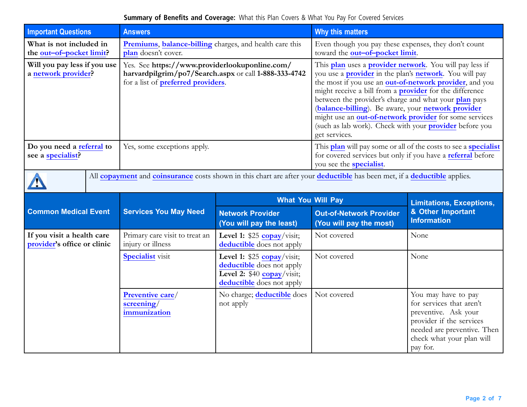### **Summary of Benefits and Coverage:** What this Plan Covers & What You Pay For Covered Services

| <b>Important Questions</b>                                |  | <b>Answers</b>                                                                                                                                       |                                                                                                                     | Why this matters                                                                                                                                                                                                                                                                                                                                                                                                                                                                                                                  |                                                                                                                                                                             |  |
|-----------------------------------------------------------|--|------------------------------------------------------------------------------------------------------------------------------------------------------|---------------------------------------------------------------------------------------------------------------------|-----------------------------------------------------------------------------------------------------------------------------------------------------------------------------------------------------------------------------------------------------------------------------------------------------------------------------------------------------------------------------------------------------------------------------------------------------------------------------------------------------------------------------------|-----------------------------------------------------------------------------------------------------------------------------------------------------------------------------|--|
| What is not included in<br>the out-of-pocket limit?       |  | Premiums, balance-billing charges, and health care this<br>plan doesn't cover.                                                                       |                                                                                                                     | Even though you pay these expenses, they don't count<br>toward the out-of-pocket limit.                                                                                                                                                                                                                                                                                                                                                                                                                                           |                                                                                                                                                                             |  |
| Will you pay less if you use<br>a network provider?       |  | Yes. See https://www.providerlookuponline.com/<br>harvardpilgrim/po7/Search.aspx or call 1-888-333-4742<br>for a list of <b>preferred</b> providers. |                                                                                                                     | This plan uses a provider network. You will pay less if<br>you use a <b>provider</b> in the plan's <b>network</b> . You will pay<br>the most if you use an <b>out-of-network provider</b> , and you<br>might receive a bill from a <b>provider</b> for the difference<br>between the provider's charge and what your plan pays<br>(balance-billing). Be aware, your network provider<br>might use an out-of-network provider for some services<br>(such as lab work). Check with your <b>provider</b> before you<br>get services. |                                                                                                                                                                             |  |
| Do you need a referral to<br>see a specialist?            |  | Yes, some exceptions apply.                                                                                                                          |                                                                                                                     | This plan will pay some or all of the costs to see a specialist<br>for covered services but only if you have a referral before<br>you see the <b>specialist</b> .                                                                                                                                                                                                                                                                                                                                                                 |                                                                                                                                                                             |  |
|                                                           |  | All copayment and coinsurance costs shown in this chart are after your deductible has been met, if a deductible applies.                             |                                                                                                                     |                                                                                                                                                                                                                                                                                                                                                                                                                                                                                                                                   |                                                                                                                                                                             |  |
|                                                           |  |                                                                                                                                                      | <b>What You Will Pay</b>                                                                                            |                                                                                                                                                                                                                                                                                                                                                                                                                                                                                                                                   | <b>Limitations, Exceptions,</b>                                                                                                                                             |  |
| <b>Common Medical Event</b>                               |  | <b>Services You May Need</b>                                                                                                                         | <b>Network Provider</b><br>(You will pay the least)                                                                 | <b>Out-of-Network Provider</b><br>(You will pay the most)                                                                                                                                                                                                                                                                                                                                                                                                                                                                         | & Other Important<br><b>Information</b>                                                                                                                                     |  |
| If you visit a health care<br>provider's office or clinic |  | Primary care visit to treat an<br>injury or illness                                                                                                  | Level 1: $$25$ copay/visit;<br>deductible does not apply                                                            | Not covered                                                                                                                                                                                                                                                                                                                                                                                                                                                                                                                       | None                                                                                                                                                                        |  |
|                                                           |  | <b>Specialist</b> visit                                                                                                                              | Level 1: \$25 copay/visit;<br>deductible does not apply<br>Level 2: $$40$ copay/visit;<br>deductible does not apply | Not covered                                                                                                                                                                                                                                                                                                                                                                                                                                                                                                                       | None                                                                                                                                                                        |  |
|                                                           |  | Preventive care/<br>screening/<br>immunization                                                                                                       | No charge; deductible does<br>not apply                                                                             | Not covered                                                                                                                                                                                                                                                                                                                                                                                                                                                                                                                       | You may have to pay<br>for services that aren't<br>preventive. Ask your<br>provider if the services<br>needed are preventive. Then<br>check what your plan will<br>pay for. |  |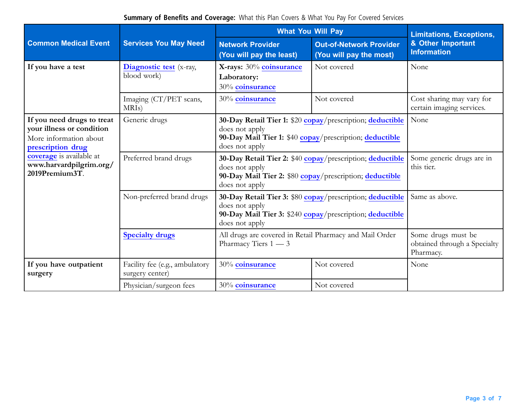**Summary of Benefits and Coverage:** What this Plan Covers & What You Pay For Covered Services

|                                                                                                                                                                                        |                                                   | <b>What You Will Pay</b>                                                                                                                                  | <b>Limitations, Exceptions,</b>                           |                                                                 |  |
|----------------------------------------------------------------------------------------------------------------------------------------------------------------------------------------|---------------------------------------------------|-----------------------------------------------------------------------------------------------------------------------------------------------------------|-----------------------------------------------------------|-----------------------------------------------------------------|--|
| <b>Common Medical Event</b>                                                                                                                                                            | <b>Services You May Need</b>                      | <b>Network Provider</b><br>(You will pay the least)                                                                                                       | <b>Out-of-Network Provider</b><br>(You will pay the most) | & Other Important<br><b>Information</b>                         |  |
| If you have a test                                                                                                                                                                     | Diagnostic test (x-ray,<br>blood work)            | X-rays: 30% coinsurance<br>Laboratory:<br>30% coinsurance                                                                                                 | Not covered                                               | None                                                            |  |
|                                                                                                                                                                                        | Imaging (CT/PET scans,<br>MRI <sub>s</sub> )      | 30% coinsurance                                                                                                                                           | Not covered                                               | Cost sharing may vary for<br>certain imaging services.          |  |
| If you need drugs to treat<br>your illness or condition<br>More information about<br>prescription drug<br><b>coverage</b> is available at<br>www.harvardpilgrim.org/<br>2019Premium3T. | Generic drugs                                     | 30-Day Retail Tier 1: \$20 copay/prescription; deductible<br>does not apply<br>90-Day Mail Tier 1: \$40 copay/prescription; deductible<br>does not apply  | None                                                      |                                                                 |  |
|                                                                                                                                                                                        | Preferred brand drugs                             | 30-Day Retail Tier 2: \$40 copay/prescription; deductible<br>does not apply<br>90-Day Mail Tier 2: \$80 copay/prescription; deductible<br>does not apply  | Some generic drugs are in<br>this tier.                   |                                                                 |  |
|                                                                                                                                                                                        | Non-preferred brand drugs                         | 30-Day Retail Tier 3: \$80 copay/prescription; deductible<br>does not apply<br>90-Day Mail Tier 3: \$240 copay/prescription; deductible<br>does not apply | Same as above.                                            |                                                                 |  |
|                                                                                                                                                                                        | <b>Specialty drugs</b>                            | All drugs are covered in Retail Pharmacy and Mail Order<br>Pharmacy Tiers 1 - 3                                                                           |                                                           | Some drugs must be<br>obtained through a Specialty<br>Pharmacy. |  |
| If you have outpatient<br>surgery                                                                                                                                                      | Facility fee (e.g., ambulatory<br>surgery center) | 30% coinsurance                                                                                                                                           | Not covered                                               | None                                                            |  |
|                                                                                                                                                                                        | Physician/surgeon fees                            | 30% coinsurance                                                                                                                                           | Not covered                                               |                                                                 |  |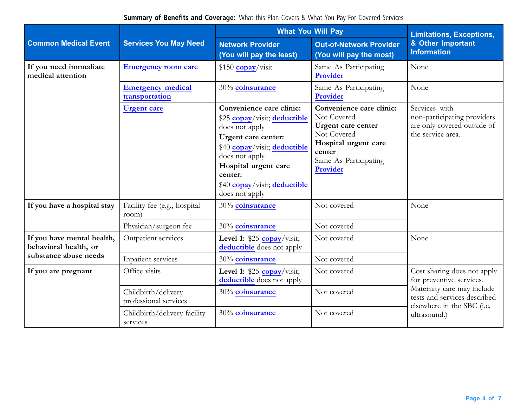**Summary of Benefits and Coverage:** What this Plan Covers & What You Pay For Covered Services

|                                                                              |                                              | <b>What You Will Pay</b>                                                                                                                                                                                                                 | <b>Limitations, Exceptions,</b>                                                                                                                                                                                                                         |                                                                                                                                                                     |  |
|------------------------------------------------------------------------------|----------------------------------------------|------------------------------------------------------------------------------------------------------------------------------------------------------------------------------------------------------------------------------------------|---------------------------------------------------------------------------------------------------------------------------------------------------------------------------------------------------------------------------------------------------------|---------------------------------------------------------------------------------------------------------------------------------------------------------------------|--|
| <b>Common Medical Event</b>                                                  | <b>Services You May Need</b>                 | <b>Network Provider</b><br>(You will pay the least)                                                                                                                                                                                      | <b>Out-of-Network Provider</b><br>(You will pay the most)                                                                                                                                                                                               | & Other Important<br><b>Information</b>                                                                                                                             |  |
| If you need immediate<br>medical attention                                   | <b>Emergency room care</b>                   | $$150$ copay/visit                                                                                                                                                                                                                       | Same As Participating<br>Provider                                                                                                                                                                                                                       | None                                                                                                                                                                |  |
|                                                                              | <b>Emergency medical</b><br>transportation   | 30% coinsurance                                                                                                                                                                                                                          | Same As Participating<br>Provider                                                                                                                                                                                                                       | None                                                                                                                                                                |  |
|                                                                              | <b>Urgent</b> care                           | Convenience care clinic:<br>\$25 copay/visit; deductible<br>does not apply<br>Urgent care center:<br>\$40 copay/visit; deductible<br>does not apply<br>Hospital urgent care<br>center:<br>\$40 copay/visit; deductible<br>does not apply | Convenience care clinic:<br>Services with<br>Not Covered<br>non-participating providers<br>are only covered outside of<br>Urgent care center<br>Not Covered<br>the service area.<br>Hospital urgent care<br>center<br>Same As Participating<br>Provider |                                                                                                                                                                     |  |
| If you have a hospital stay                                                  | Facility fee (e.g., hospital<br>room)        | 30% coinsurance                                                                                                                                                                                                                          | Not covered                                                                                                                                                                                                                                             | None                                                                                                                                                                |  |
|                                                                              | Physician/surgeon fee                        | 30% coinsurance                                                                                                                                                                                                                          | Not covered                                                                                                                                                                                                                                             |                                                                                                                                                                     |  |
| If you have mental health,<br>behavioral health, or<br>substance abuse needs | Outpatient services                          | Level 1: $$25$ copay/visit;<br>deductible does not apply                                                                                                                                                                                 | Not covered                                                                                                                                                                                                                                             | None                                                                                                                                                                |  |
|                                                                              | Inpatient services                           | 30% coinsurance                                                                                                                                                                                                                          | Not covered                                                                                                                                                                                                                                             |                                                                                                                                                                     |  |
| If you are pregnant                                                          | Office visits                                | Level 1: $$25$ copay/visit;<br>deductible does not apply                                                                                                                                                                                 | Not covered                                                                                                                                                                                                                                             | Cost sharing does not apply<br>for preventive services.<br>Maternity care may include<br>tests and services described<br>elsewhere in the SBC (i.e.<br>ultrasound.) |  |
|                                                                              | Childbirth/delivery<br>professional services | 30% coinsurance                                                                                                                                                                                                                          | Not covered                                                                                                                                                                                                                                             |                                                                                                                                                                     |  |
|                                                                              | Childbirth/delivery facility<br>services     | 30% coinsurance                                                                                                                                                                                                                          | Not covered                                                                                                                                                                                                                                             |                                                                                                                                                                     |  |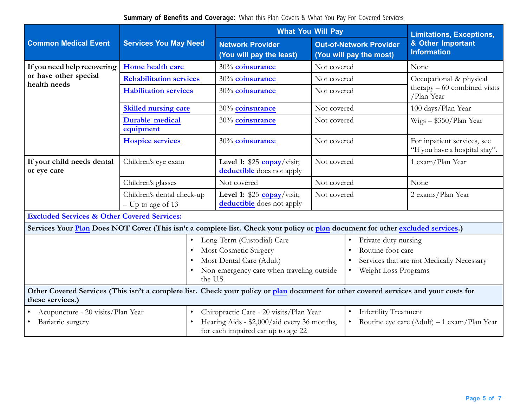**Summary of Benefits and Coverage:** What this Plan Covers & What You Pay For Covered Services

|                                                                     |                                                                                                                                      | <b>What You Will Pay</b>                                                                                                                                                                                                   |                                                           | <b>Limitations, Exceptions,</b>                                                                                |  |
|---------------------------------------------------------------------|--------------------------------------------------------------------------------------------------------------------------------------|----------------------------------------------------------------------------------------------------------------------------------------------------------------------------------------------------------------------------|-----------------------------------------------------------|----------------------------------------------------------------------------------------------------------------|--|
| <b>Common Medical Event</b>                                         | <b>Services You May Need</b>                                                                                                         | <b>Network Provider</b><br>(You will pay the least)                                                                                                                                                                        | <b>Out-of-Network Provider</b><br>(You will pay the most) | & Other Important<br><b>Information</b>                                                                        |  |
| If you need help recovering                                         | Home health care                                                                                                                     | 30% coinsurance                                                                                                                                                                                                            | Not covered                                               | None                                                                                                           |  |
| or have other special<br>health needs                               | <b>Rehabilitation services</b>                                                                                                       | 30% coinsurance                                                                                                                                                                                                            | Not covered                                               | Occupational & physical<br>$there$ pherapy – 60 combined visits<br>/Plan Year                                  |  |
|                                                                     | <b>Habilitation services</b>                                                                                                         | 30% coinsurance                                                                                                                                                                                                            | Not covered                                               |                                                                                                                |  |
|                                                                     | <b>Skilled nursing care</b>                                                                                                          | 30% coinsurance                                                                                                                                                                                                            | Not covered                                               | 100 days/Plan Year                                                                                             |  |
|                                                                     | <b>Durable medical</b><br>equipment                                                                                                  | 30% coinsurance                                                                                                                                                                                                            | Not covered                                               | Wigs - \$350/Plan Year                                                                                         |  |
|                                                                     | <b>Hospice services</b>                                                                                                              | 30% coinsurance                                                                                                                                                                                                            | Not covered                                               | For inpatient services, see<br>"If you have a hospital stay".                                                  |  |
| If your child needs dental<br>or eye care                           | Children's eye exam                                                                                                                  | Level 1: $$25$ copay/visit;<br>deductible does not apply                                                                                                                                                                   | Not covered                                               | 1 exam/Plan Year                                                                                               |  |
|                                                                     | Children's glasses                                                                                                                   | Not covered                                                                                                                                                                                                                | Not covered                                               | None                                                                                                           |  |
|                                                                     | Children's dental check-up<br>$-$ Up to age of 13                                                                                    | Level 1: $$25$ copay/visit;<br>deductible does not apply                                                                                                                                                                   | Not covered                                               | 2 exams/Plan Year                                                                                              |  |
| <b>Excluded Services &amp; Other Covered Services:</b>              |                                                                                                                                      |                                                                                                                                                                                                                            |                                                           |                                                                                                                |  |
|                                                                     | Services Your Plan Does NOT Cover (This isn't a complete list. Check your policy or plan document for other excluded services.)      |                                                                                                                                                                                                                            |                                                           |                                                                                                                |  |
|                                                                     | $\bullet$<br>the U.S.                                                                                                                | Long-Term (Custodial) Care<br>Most Cosmetic Surgery<br>Most Dental Care (Adult)<br>Non-emergency care when traveling outside                                                                                               |                                                           | Private-duty nursing<br>Routine foot care<br>Services that are not Medically Necessary<br>Weight Loss Programs |  |
| these services.)                                                    | Other Covered Services (This isn't a complete list. Check your policy or plan document for other covered services and your costs for |                                                                                                                                                                                                                            |                                                           |                                                                                                                |  |
| Acupuncture - 20 visits/Plan Year<br>$\bullet$<br>Bariatric surgery |                                                                                                                                      | Chiropractic Care - 20 visits/Plan Year<br><b>Infertility Treatment</b><br>$\bullet$<br>Hearing Aids - \$2,000/aid every 36 months,<br>Routine eye care $(Adult) - 1$ exam/Plan Year<br>for each impaired ear up to age 22 |                                                           |                                                                                                                |  |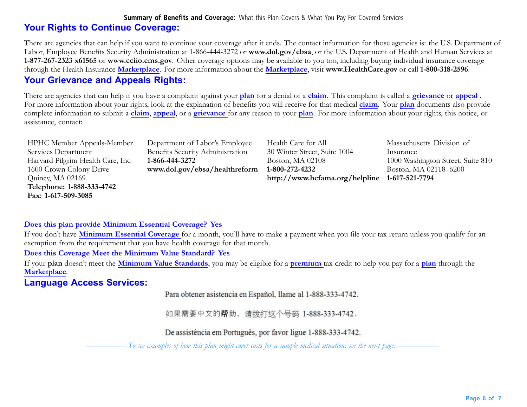#### **Summary of Benefits and Coverage:** What this Plan Covers & What You Pay For Covered Services

# **Your Rights to Continue Coverage:**

There are agencies that can help if you want to continue your coverage after it ends. The contact information for those agencies is: the U.S. Department of Labor, Employee Benefits Security Administration at 1-866-444-3272 or **<www.dol.gov/ebsa>**, or the U.S. Department of Health and Human Services at **1-877-267-2323 x61565** or **www.cciio.cms.gov**. Other coverage options may be available to you too, including buying individual insurance coverage through the Health Insurance **Marketplace**. For more information about the **Marketplace**, visit **[www.HealthCare.gov](http://www.HealthCare.gov)** or call **1-800-318-2596**.

# **Your Grievance and Appeals Rights:**

There are agencies that can help if you have <sup>a</sup> complaint against your **plan** for <sup>a</sup> denial of <sup>a</sup> **claim**. This complaint is called <sup>a</sup> **grievance** or **appeal** . For more information about your rights, look at the explanation of benefits you will receive for that medical **claim**. Your **plan** documents also provide complete information to submit <sup>a</sup> **claim**, **appeal**, or <sup>a</sup> **grievance** for any reason to your **plan**. For more information about your rights, this notice, or assistance, contact:

| <b>HPHC Member Appeals-Member</b> | Department of Labor's Employee   | Health Care for All                           | Massachusetts Division of         |
|-----------------------------------|----------------------------------|-----------------------------------------------|-----------------------------------|
| Services Department               | Benefits Security Administration | 30 Winter Street, Suite 1004                  | Insurance                         |
| Harvard Pilgrim Health Care, Inc. | 1-866-444-3272                   | Boston, MA 02108                              | 1000 Washington Street, Suite 810 |
| 1600 Crown Colony Drive           | www.dol.gov/ebsa/healthreform    | 1-800-272-4232                                | Boston, MA 02118-6200             |
| Quincy, MA 02169                  |                                  | http://www.hcfama.org/helpline 1-617-521-7794 |                                   |
| Telephone: 1-888-333-4742         |                                  |                                               |                                   |
| Fax: 1-617-509-3085               |                                  |                                               |                                   |

### **Does this plan provide Minimum Essential Coverage? Yes**

If you don't have **Minimum Essential Coverage** for <sup>a</sup> month, you'll have to make <sup>a</sup> payment when you file your tax return unless you qualify for an exemption from the requirement that you have health coverage for that month.

#### **Does this Coverage Meet the Minimum Value Standard? Yes**

If your **plan** doesn't meet the **Minimum Value Standards**, you may be eligible for <sup>a</sup> **premium** tax credit to help you pay for <sup>a</sup> **plan** through the **Marketplace**.

# **Language Access Services:**

Para obtener asistencia en Español, llame al 1-888-333-4742.

如果需要中文的帮助, 请拨打这个号码 1-888-333-4742.

De assistência em Português, por favor ligue 1-888-333-4742.

To see examples of how this plan might cover costs for a sample medical situation, see the next page. -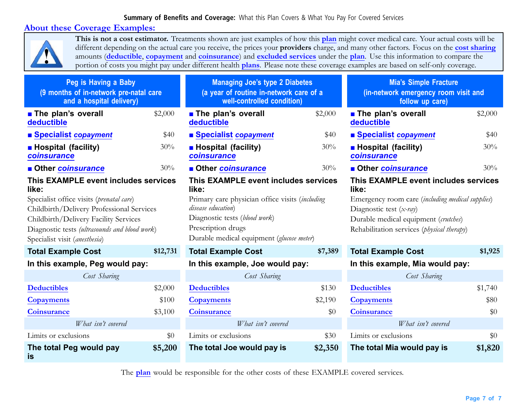### **Summary of Benefits and Coverage:** What this Plan Covers & What You Pay For Covered Services

### **About these Coverage Examples:**



**This is not <sup>a</sup> cost estimator.** Treatments shown are just examples of how this **plan** might cover medical care. Your actual costs will be different depending on the actual care you receive, the prices your **prov[iders](https://www.healthcare.gov/sbc-glossary/#provider)** charge, and many other factors. Focus on the **cost sharing** amounts (**deductible**, **copayment** and **coinsurance**) and **excluded services** under the **plan**. Use this information to compare the portion of costs you might pay under different health **plans**. Please note these coverage examples are based on self-only coverage.

| Peg is Having a Baby<br>(9 months of in-network pre-natal care<br>and a hospital delivery) |          | <b>Managing Joe's type 2 Diabetes</b><br>(a year of routine in-network care of a<br>well-controlled condition) |                                      | <b>Mia's Simple Fracture</b><br>(in-network emergency room visit and<br>follow up care) |         |
|--------------------------------------------------------------------------------------------|----------|----------------------------------------------------------------------------------------------------------------|--------------------------------------|-----------------------------------------------------------------------------------------|---------|
| <b>The plan's overall</b><br>deductible                                                    | \$2,000  | <b>The plan's overall</b><br>deductible                                                                        | \$2,000                              | <b>n</b> The plan's overall<br>deductible                                               | \$2,000 |
| ■ Specialist copayment                                                                     | \$40     | ■ Specialist copayment                                                                                         | \$40                                 | ■ Specialist copayment                                                                  | \$40    |
| <b>Hospital (facility)</b><br>coinsurance                                                  | 30%      | <b>Hospital (facility)</b><br>coinsurance                                                                      | 30%                                  | <b>Hospital (facility)</b><br>coinsurance                                               | 30%     |
| <b>Other coinsurance</b>                                                                   | 30%      | <b>Other coinsurance</b>                                                                                       | 30%                                  | <b>Other coinsurance</b><br>30%                                                         |         |
| This EXAMPLE event includes services<br>like:                                              |          | This EXAMPLE event includes services<br>like:                                                                  |                                      | This EXAMPLE event includes services<br>like:                                           |         |
| Specialist office visits (prenatal care)                                                   |          | Primary care physician office visits (including                                                                |                                      | Emergency room care (including medical supplies)                                        |         |
| Childbirth/Delivery Professional Services                                                  |          | disease education)                                                                                             |                                      | Diagnostic test $(x-ray)$                                                               |         |
| Childbirth/Delivery Facility Services                                                      |          | Diagnostic tests (blood work)                                                                                  |                                      | Durable medical equipment (crutches)                                                    |         |
| Diagnostic tests (ultrasounds and blood work)<br>Specialist visit (anesthesia)             |          | Prescription drugs<br>Durable medical equipment (glucose meter)                                                |                                      | Rehabilitation services ( <i>physical therapy</i> )                                     |         |
| <b>Total Example Cost</b>                                                                  | \$12,731 | <b>Total Example Cost</b>                                                                                      | \$7,389<br><b>Total Example Cost</b> |                                                                                         | \$1,925 |
| In this example, Peg would pay:                                                            |          | In this example, Joe would pay:                                                                                |                                      | In this example, Mia would pay:                                                         |         |
| Cost Sharing                                                                               |          | Cost Sharing                                                                                                   |                                      | Cost Sharing                                                                            |         |
| <b>Deductibles</b>                                                                         | \$2,000  | <b>Deductibles</b>                                                                                             | \$130                                | <b>Deductibles</b>                                                                      | \$1,740 |
| <b>Copayments</b>                                                                          | \$100    | <b>Copayments</b>                                                                                              | \$2,190                              | <b>Copayments</b>                                                                       | \$80    |
| Coinsurance                                                                                | \$3,100  | <b>Coinsurance</b>                                                                                             | \$0                                  | <b>Coinsurance</b>                                                                      | \$0     |
| What isn't covered                                                                         |          | What isn't covered                                                                                             |                                      | What isn't covered                                                                      |         |
| Limits or exclusions                                                                       | \$0      | Limits or exclusions                                                                                           | \$30                                 | Limits or exclusions                                                                    | \$0     |
| The total Peg would pay<br>\$5,200<br>is                                                   |          | The total Joe would pay is                                                                                     | \$2,350                              | The total Mia would pay is                                                              | \$1,820 |

The **plan** would be responsible for the other costs of these EXAMPLE covered services.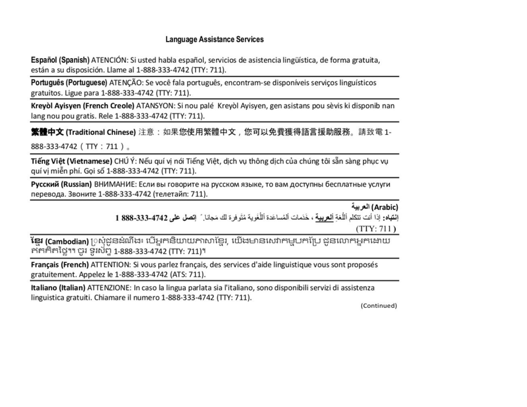### **Language Assistance Services**

Español (Spanish) ATENCIÓN: Si usted habla español, servicios de asistencia lingüística, de forma gratuita, están a su disposición. Llame al 1-888-333-4742 (TTY: 711).

Português (Portuguese) ATENÇÃO: Se você fala português, encontram-se disponíveis serviços linguísticos gratuitos. Ligue para 1-888-333-4742 (TTY: 711).

Kreyòl Ayisyen (French Creole) ATANSYON: Si nou palé Kreyòl Ayisyen, gen asistans pou sèvis ki disponib nan lang nou pou gratis. Rele 1-888-333-4742 (TTY: 711).

**繁體中文 (Traditional Chinese)** 注意:如果您使用繁體中文,您可以免費獲得語言援助服務。請致電 1-

888-333-4742 (TTY: 711).

Tiếng Việt (Vietnamese) CHÚ Ý: Nếu quí vị nói Tiếng Việt, dịch vụ thông dịch của chúng tôi sẵn sàng phục vụ quí vi miễn phí. Gọi số 1-888-333-4742 (TTY: 711).

Русский (Russian) ВНИМАНИЕ: Если вы говорите на русском языке, то вам доступны бесплатные услуги перевода. Звоните 1-888-333-4742 (телетайп: 711).

(Arabic) العربية

إِنْتِياهِ: إذا أنت تتكلم أللُّغة ألعربية ، خَدَمات ألمُساعَدة اللُّغَوية مُتَوفِّرة لك مَجانا. ` إتصل على 4742-333-888 1  $(TTY: 711)$ 

**ខែ្មរ (Cambodian)** [)ស្ងំជូនដំណឹង៖ បើអ្នកនិយាយភាសាខែ្មរ, យើងមានសេវាកម្មបកប្រែ ជូនលោកអ្នកដោយ កកកិតថ្លៃ។។ ចូរ ទូរស័ព្ទ 1-888-333-4742 (TTY: 711)។

Français (French) ATTENTION: Si vous parlez français, des services d'aide linguistique vous sont proposés gratuitement. Appelez le 1-888-333-4742 (ATS: 711).

Italiano (Italian) ATTENZIONE: In caso la lingua parlata sia l'italiano, sono disponibili servizi di assistenza linguistica gratuiti. Chiamare il numero 1-888-333-4742 (TTY: 711).

(Continued)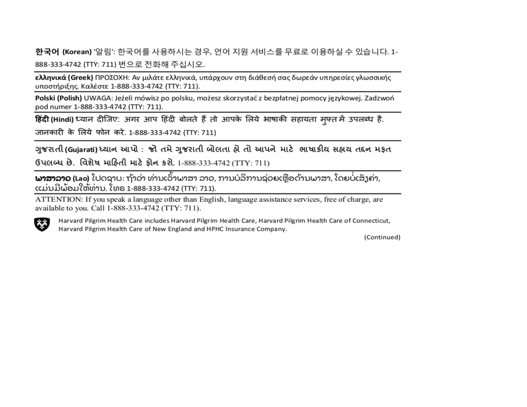한국어 (Korean) '알림': 한국어를 사용하시는 경우, 언어 지원 서비스를 무료로 이용하실 수 있습니다. 1-888-333-4742 (TTY: 711) 번으로 전화해 주십시오.

ελληνικά (Greek) ΠΡΟΣΟΧΗ: Αν μιλάτε ελληνικά, υπάρχουν στη διάθεσή σας δωρεάν υπηρεσίες γλωσσικής υποστήριξης. Καλέστε 1-888-333-4742 (ΤΤΥ: 711).

Polski (Polish) UWAGA: Jeżeli mówisz po polsku, możesz skorzystać z bezpłatnej pomocy językowej. Zadzwoń pod numer 1-888-333-4742 (TTY: 711).

हिंदी (Hindi) ध्यान दीजिए: अगर आप हिंदी बोलते हैं तो आपके लिये भाषाकी सहायता मुफ्त में उपलब्ध है. जानकारी के लिये फोन करे. 1-888-333-4742 (TTY: 711)

ગુજરાતી(Gujarati)ધ્યાન આપો : જો તમે ગુજરાતી બોલતા હ્રે તો આપને માટે ભાષાકીય સહ્રય તદ્દન મકૃત

ઉપલબ્ધ છે. વિશેષ માહિતી માટે ફોન કરો. 1-888-333-4742 (TTY: 711)

**ພາສາລາວ (L**ao) ໂປດຊາບ: ຖ້າວ່າ ທ່ານເວົ້າພາສາ ລາວ, ການບໍລິການຊ່ວຍເຫຼືອດ້ານພາສາ, ໂດຍບໍ່ເສັງຄ່າ, ແມ່ນມີພ້ອມໃຫ້ທ່ານ. ໂທຣ 1-888-333-4742 (TTY: 711).

ATTENTION: If you speak a language other than English, language assistance services, free of charge, are available to you. Call 1-888-333-4742 (TTY: 711).



Harvard Pilgrim Health Care includes Harvard Pilgrim Health Care, Harvard Pilgrim Health Care of Connecticut, Harvard Pilgrim Health Care of New England and HPHC Insurance Company.

(Continued)